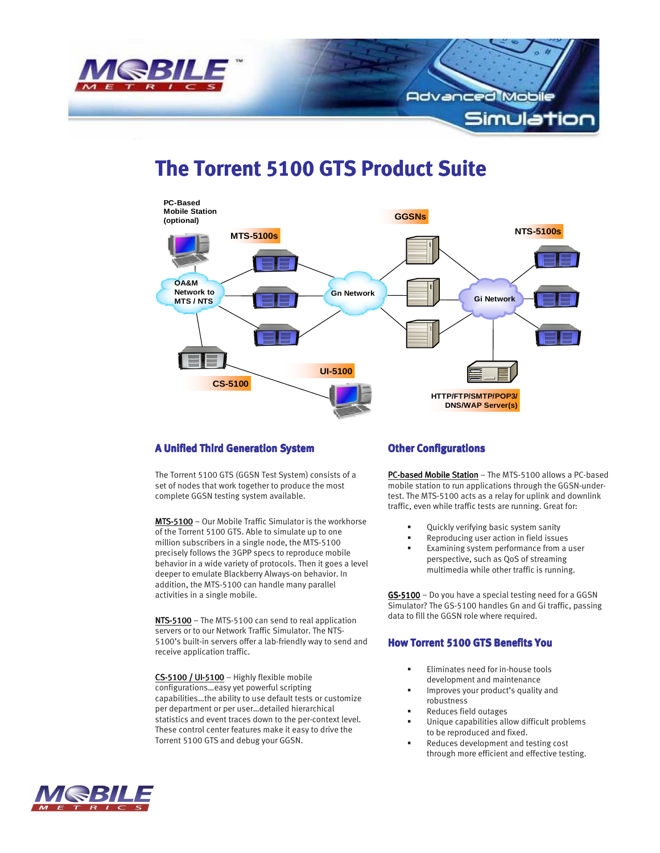

# **The Torrent 5100 GTS Product Suite**



#### **A Unified Third Generation System**

The Torrent 5100 GTS (GGSN Test System) consists of a set of nodes that work together to produce the most complete GGSN testing system available.

MTS-5100 – Our Mobile Traffic Simulator is the workhorse of the Torrent 5100 GTS. Able to simulate up to one million subscribers in a single node, the MTS-5100 precisely follows the 3GPP specs to reproduce mobile behavior in a wide variety of protocols. Then it goes a level deeper to emulate Blackberry Always-on behavior. In addition, the MTS-5100 can handle many parallel activities in a single mobile.

NTS-5100 – The MTS-5100 can send to real application servers or to our Network Traffic Simulator. The NTS-5100's built-in servers offer a lab-friendly way to send and receive application traffic.

 $CS-5100$  / UI-5100 - Highly flexible mobile configurations…easy yet powerful scripting capabilities…the ability to use default tests or customize per department or per user…detailed hierarchical statistics and event traces down to the per-context level. These control center features make it easy to drive the Torrent 5100 GTS and debug your GGSN.

#### **Other Configurations**

PC-based Mobile Station – The MTS-5100 allows a PC-based mobile station to run applications through the GGSN-undertest. The MTS-5100 acts as a relay for uplink and downlink traffic, even while traffic tests are running. Great for:

- Quickly verifying basic system sanity
- Reproducing user action in field issues
- Examining system performance from a user perspective, such as QoS of streaming multimedia while other traffic is running.

GS-5100 - Do you have a special testing need for a GGSN Simulator? The GS-5100 handles Gn and Gi traffic, passing data to fill the GGSN role where required.

## **How Torrent 5100 GTS Benefits You**

- Eliminates need for in-house tools development and maintenance
- Improves your product's quality and robustness
- Reduces field outages
- Unique capabilities allow difficult problems to be reproduced and fixed.
- Reduces development and testing cost through more efficient and effective testing.

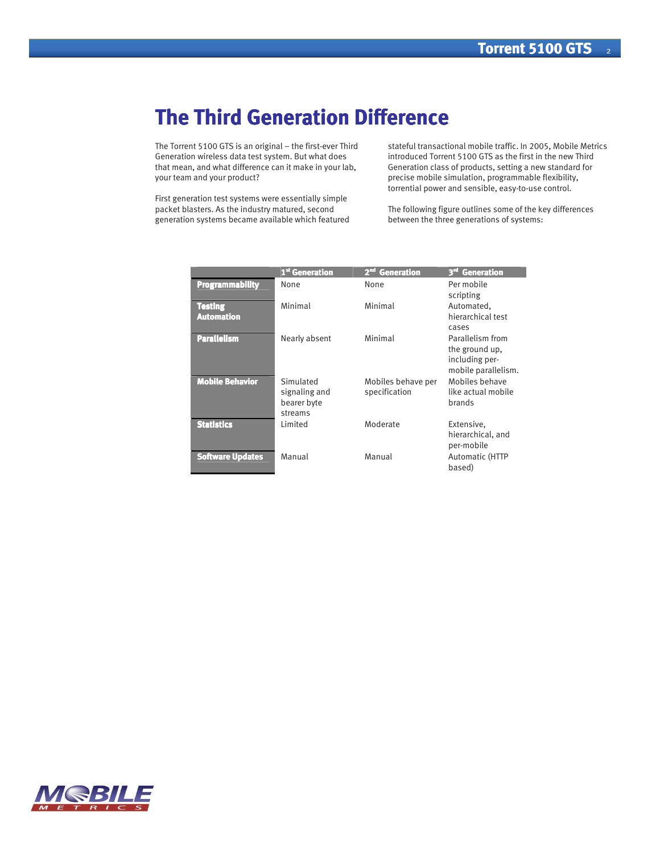# **The Third Generation Difference**

The Torrent 5100 GTS is an original – the first-ever Third Generation wireless data test system. But what does that mean, and what difference can it make in your lab, your team and your product?

First generation test systems were essentially simple packet blasters. As the industry matured, second generation systems became available which featured

stateful transactional mobile traffic. In 2005, Mobile Metrics introduced Torrent 5100 GTS as the first in the new Third Generation class of products, setting a new standard for precise mobile simulation, programmable flexibility, torrential power and sensible, easy-to-use control.

The following figure outlines some of the key differences between the three generations of systems:

|                              | 1 <sup>st</sup> Generation                           | <b>Generation</b><br>2 <sup>nd</sup> | 3 <sup>rd</sup> Generation                                                  |
|------------------------------|------------------------------------------------------|--------------------------------------|-----------------------------------------------------------------------------|
| <b>Programmability</b>       | None                                                 | None                                 | Per mobile<br>scripting                                                     |
| Testing<br><b>Automation</b> | Minimal                                              | Minimal                              | Automated,<br>hierarchical test<br>cases                                    |
| <b>Parallelism</b>           | Nearly absent                                        | Minimal                              | Parallelism from<br>the ground up.<br>including per-<br>mobile parallelism. |
| <b>Mobile Behavior</b>       | Simulated<br>signaling and<br>bearer byte<br>streams | Mobiles behave per<br>specification  | Mobiles behave<br>like actual mobile<br>brands                              |
| <b>Statistics</b>            | Limited                                              | Moderate                             | Extensive,<br>hierarchical, and<br>per-mobile                               |
| <b>Software Updates</b>      | Manual                                               | Manual                               | Automatic (HTTP<br>based)                                                   |

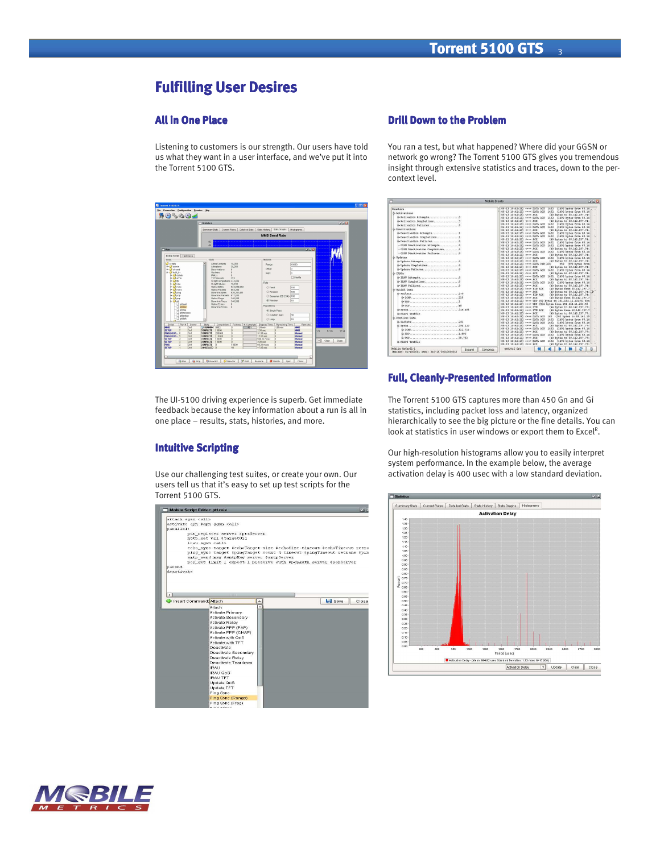# **Fulfilling User Desires**

# **All in One Place Place Place**

Listening to customers is our strength. Our users have told us what they want in a user interface, and we've put it into the Torrent 5100 GTS.

|                                                   | Statistics                                 |                            |                                                                                        |                                  |                              | $12 - 24 - 16$       |  |
|---------------------------------------------------|--------------------------------------------|----------------------------|----------------------------------------------------------------------------------------|----------------------------------|------------------------------|----------------------|--|
|                                                   | <b>Summary State</b>                       | Current Rotes              | <b>Detailed State</b><br>Stats History                                                 | <b>State Orasho</b>              | <b>Histograms</b>            |                      |  |
|                                                   |                                            |                            |                                                                                        | <b>MMS Send Rate</b>             |                              |                      |  |
|                                                   | 50                                         |                            |                                                                                        |                                  |                              |                      |  |
|                                                   | 4k                                         |                            |                                                                                        |                                  |                              |                      |  |
| $T$ Run                                           |                                            |                            |                                                                                        |                                  | <b>BLACK</b>                 |                      |  |
| Mobile Script Test Case                           |                                            |                            |                                                                                        |                                  |                              |                      |  |
| Script                                            | Stys:                                      |                            | Mobilles                                                                               |                                  |                              |                      |  |
| <b>U</b> screes<br>+ O edmin                      | ۰<br>Activa Contaxta<br>Activations        | 10,003<br>30,003           | Ratee:                                                                                 |                                  | 10038                        |                      |  |
| de <sup>1</sup> shared                            |                                            | Deachcatans:<br>×          |                                                                                        |                                  | h                            |                      |  |
| 4-Chut in                                         | Undates                                    | ×                          | Skip:                                                                                  |                                  | ь                            |                      |  |
| d- Li delete<br>$4 - 1$ echo                      | <b>RAUS</b>                                | ×<br>253                   |                                                                                        |                                  | <b>Fishero</b>               |                      |  |
| $4 - 11$                                          | T3 Timecuts                                | Boriot Completions 374.833 |                                                                                        |                                  |                              |                      |  |
| $+$ $\Box$ res                                    | <b>Boriot Failures</b>                     | 10,043                     | Rote                                                                                   |                                  |                              |                      |  |
| & O mac                                           | Uplink Dyke                                | 922.091.553                | CLEVAR.                                                                                |                                  | hon                          |                      |  |
| de alle mens<br>d- U ping                         | Uplink Packets<br>Downlink Ryles           | 962,282<br>926-261-451     |                                                                                        | C Palsson                        | 100                          |                      |  |
| 4000                                              |                                            | Downlink Parkets \$17,023  |                                                                                        | C) Gaussian (SD 25%)             | Ison                         |                      |  |
| $\triangle$ $\Box$ $\mathrm{ceo}$                 | Uplink Pines                               | 340,000                    |                                                                                        | @ Window                         | lto.                         |                      |  |
| $ \sigma$<br><b>D</b> phoat                       | Downlink Pings<br>Uplink Echos             | 340,000<br>a.              |                                                                                        |                                  |                              |                      |  |
| $p$ tra                                           | Downlink Echos 0                           |                            | <b>Repetitions</b>                                                                     |                                  |                              |                      |  |
| a pereg                                           |                                            |                            |                                                                                        | <b>Gi Single Pass</b>            |                              |                      |  |
| C phrelesse                                       |                                            |                            |                                                                                        | O Duration (sec)                 | l30                          |                      |  |
| G et.cetsp<br><b>D</b> cease                      |                                            |                            | 01000                                                                                  |                                  |                              |                      |  |
| <b>Classic</b>                                    | $\overline{\mathbf{v}}$                    |                            |                                                                                        |                                  | 10                           |                      |  |
| Pus # Server<br><b>Bonet</b><br><b>MBES</b>       | <b>Stude</b>                               |                            | Completers   Failures   % Complete   Elapsed Time   Remaining Time<br>$\overline{165}$ |                                  | <b>Remarks</b><br><b>MMS</b> |                      |  |
| Xin1<br>SETUD<br>ion1                             | D RUNNING 4902<br><b>COMPLETE</b><br>10001 | и<br>'n                    | 1.89 min<br>2.03 sec                                                                   | 1.97 min<br>'n                   | MMS                          |                      |  |
| PINGLOOD_ 8<br>cot                                | <b>COMPLETE</b><br>230310                  | w                          | 31.08 sec                                                                              | $\overline{0}$                   | Margaret                     | 17:26<br>24<br>17:26 |  |
| PINGLOOD_ 5<br>lont                               | <b>COMPLETE</b><br>110310                  | la                         | 15.02 sec                                                                              | n                                | Manual                       |                      |  |
| <b>SETUP</b><br>Cost<br>и<br><b>SETUP</b><br>Cost | <b>COMPLETE</b><br>10031<br>10031          | īa<br>'n                   | 999.12 mont                                                                            | $\overline{D}$                   | Manual<br><b>Mystal</b>      | ◛<br>Close<br>Close  |  |
| 12<br><b>PENG</b><br>iGn1<br>12                   | COMPLETE<br>COMPLETE<br>$\mathbf{n}$       | 10000                      | 2.01 sec<br>89.31 msec                                                                 | $\mathfrak{g}$<br>$\overline{0}$ | <b>Mysuni</b>                |                      |  |
| <b>SETUP</b><br>rin1                              | CANCELLED 13                               | AT.                        | 47.05 cm                                                                               | n.                               | Myssal                       |                      |  |
|                                                   |                                            |                            |                                                                                        |                                  |                              |                      |  |

The UI-5100 driving experience is superb. Get immediate feedback because the key information about a run is all in one place – results, stats, histories, and more.

#### **Intuitive Scripting**

Use our challenging test suites, or create your own. Our users tell us that it's easy to set up test scripts for the Torrent 5100 GTS.



## **Drill Down to the Problem**

You ran a test, but what happened? Where did your GGSN or network go wrong? The Torrent 5100 GTS gives you tremendous insight through extensive statistics and traces, down to the percontext level.



## **Full, C Full, Cleanly-Presented I Presented I Presented Information nformationnformation**

The Torrent 5100 GTS captures more than 450 Gn and Gi statistics, including packet loss and latency, organized hierarchically to see the big picture or the fine details. You can look at statistics in user windows or export them to Excel<sup>R</sup>.

Our high-resolution histograms allow you to easily interpret system performance. In the example below, the average activation delay is 400 usec with a low standard deviation.



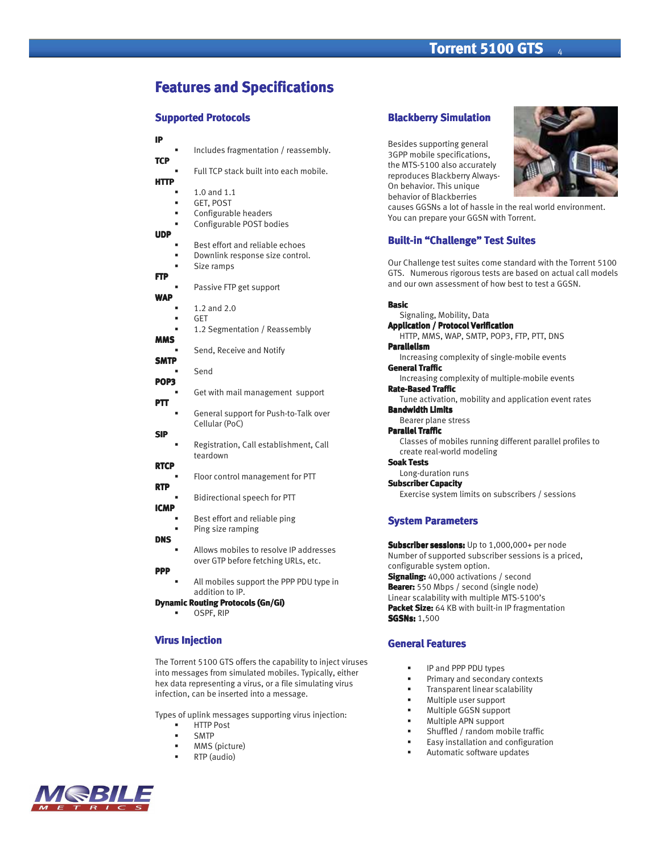# **Features and Specifications and Specifications**

#### **Supported Protocols**

# **IP TCP**

 Full TCP stack built into each mobile. **HTTP** 

Includes fragmentation / reassembly.

- 1.0 and 1.1
- GET, POST
- Configurable headers
- Configurable POST bodies

# **UDP**

- Best effort and reliable echoes Downlink response size control. Size ramps **FTP**  Passive FTP get support **WAP**  1.2 and 2.0 GET 1.2 Segmentation / Reassembly **MMS**  Send, Receive and Notify **SMTP**  Send **POP3**  Get with mail management support **PTT**  General support for Push-to-Talk over Cellular (PoC) **SIP** 
	- Registration, Call establishment, Call teardown
- **RTCP**
- Floor control management for PTT **RTP**
- Bidirectional speech for PTT **ICMP** 
	- Best effort and reliable ping
- Ping size ramping **DNS** 
	- Allows mobiles to resolve IP addresses over GTP before fetching URLs, etc.

#### **PPP**

 All mobiles support the PPP PDU type in addition to IP.

# **Dynamic Routing Protocols (Gn/Gi)**

OSPF, RIP

## **Virus Injection**

The Torrent 5100 GTS offers the capability to inject viruses into messages from simulated mobiles. Typically, either hex data representing a virus, or a file simulating virus infection, can be inserted into a message.

Types of uplink messages supporting virus injection:

- HTTP Post
- SMTP
- MMS (picture)
	- RTP (audio)



# **Blackberry Simulation**

Besides supporting general 3GPP mobile specifications, the MTS-5100 also accurately reproduces Blackberry Always-On behavior. This unique behavior of Blackberries

causes GGSNs a lot of hassle in the real world environment. You can prepare your GGSN with Torrent.

## **Built-in "Challenge" Test Suites**

Our Challenge test suites come standard with the Torrent 5100 GTS. Numerous rigorous tests are based on actual call models and our own assessment of how best to test a GGSN.

#### **Basic**

Signaling, Mobility, Data **Application / Protocol Verification / Protocol Verification**  HTTP, MMS, WAP, SMTP, POP3, FTP, PTT, DNS **Parallelism**  Increasing complexity of single-mobile events **General Traffic**  Increasing complexity of multiple-mobile events **Rate-Based Traffic** Tune activation, mobility and application event rates **Bandwidth Limits**  Bearer plane stress **Parallel Traffic**  Classes of mobiles running different parallel profiles to create real-world modeling **Soak Tests** Long-duration runs **Subscriber Capacity** Exercise system limits on subscribers / sessions **System Parameters** 

**Subscriber sessions:** Up to 1,000,000+ per node Number of supported subscriber sessions is a priced, configurable system option. **Signaling:** 40,000 activations / second **Bearer:** 550 Mbps / second (single node) Linear scalability with multiple MTS-5100's **Packet Size:** 64 KB with built-in IP fragmentation **SGSNs:** 1,500

#### **General Features**

- IP and PPP PDU types
- Primary and secondary contexts
- Transparent linear scalability
- Multiple user support
- Multiple GGSN support
- Multiple APN support
- Shuffled / random mobile traffic
- Easy installation and configuration
- Automatic software updates